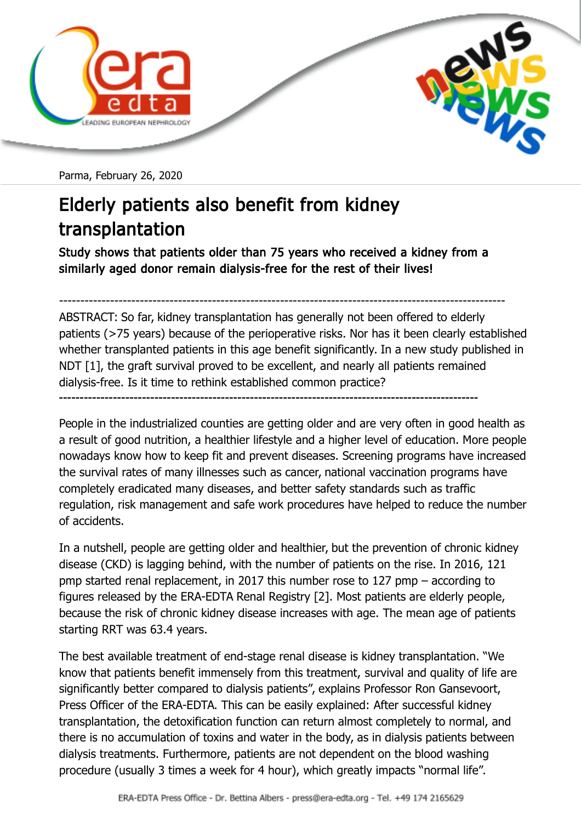

Parma, February 26, 2020

## Elderly patients also benefit from kidney transplantation

Study shows that patients older than 75 years who received a kidney from a similarly aged donor remain dialysis-free for the rest of their lives!

---------------------------------------------------------------------------------------------------------

ABSTRACT: So far, kidney transplantation has generally not been offered to elderly patients (>75 years) because of the perioperative risks. Nor has it been clearly established whether transplanted patients in this age benefit significantly. In a new study published in NDT [1], the graft survival proved to be excellent, and nearly all patients remained dialysis-free. Is it time to rethink established common practice? -----------------------------------------------------------------------------------------------------

People in the industrialized counties are getting older and are very often in good health as a result of good nutrition, a healthier lifestyle and a higher level of education. More people nowadays know how to keep fit and prevent diseases. Screening programs have increased the survival rates of many illnesses such as cancer, national vaccination programs have completely eradicated many diseases, and better safety standards such as traffic regulation, risk management and safe work procedures have helped to reduce the number of accidents.

In a nutshell, people are getting older and healthier, but the prevention of chronic kidney disease (CKD) is lagging behind, with the number of patients on the rise. In 2016, 121 pmp started renal replacement, in 2017 this number rose to 127 pmp – according to figures released by the ERA-EDTA Renal Registry [2]. Most patients are elderly people, because the risk of chronic kidney disease increases with age. The mean age of patients starting RRT was 63.4 years.

The best available treatment of end-stage renal disease is kidney transplantation. "We know that patients benefit immensely from this treatment, survival and quality of life are significantly better compared to dialysis patients", explains Professor Ron Gansevoort, Press Officer of the ERA-EDTA. This can be easily explained: After successful kidney transplantation, the detoxification function can return almost completely to normal, and there is no accumulation of toxins and water in the body, as in dialysis patients between dialysis treatments. Furthermore, patients are not dependent on the blood washing procedure (usually 3 times a week for 4 hour), which greatly impacts "normal life".